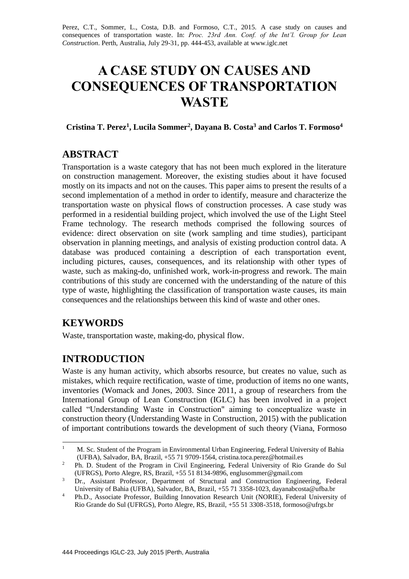Perez, C.T., Sommer, L., Costa, D.B. and Formoso, C.T., 2015. A case study on causes and consequences of transportation waste. In: *Proc. 23rd Ann. Conf. of the Int'l. Group for Lean Construction*. Perth, Australia, July 29-31, pp. 444-453, available at [www.iglc.net](http://www.iglc.net/)

# **A CASE STUDY ON CAUSES AND CONSEQUENCES OF TRANSPORTATION WASTE**

#### **Cristina T. Perez<sup>1</sup> , Lucila Sommer<sup>2</sup> , Dayana B. Costa<sup>3</sup> and Carlos T. Formoso<sup>4</sup>**

# **ABSTRACT**

Transportation is a waste category that has not been much explored in the literature on construction management. Moreover, the existing studies about it have focused mostly on its impacts and not on the causes. This paper aims to present the results of a second implementation of a method in order to identify, measure and characterize the transportation waste on physical flows of construction processes. A case study was performed in a residential building project, which involved the use of the Light Steel Frame technology. The research methods comprised the following sources of evidence: direct observation on site (work sampling and time studies), participant observation in planning meetings, and analysis of existing production control data. A database was produced containing a description of each transportation event, including pictures, causes, consequences, and its relationship with other types of waste, such as making-do, unfinished work, work-in-progress and rework. The main contributions of this study are concerned with the understanding of the nature of this type of waste, highlighting the classification of transportation waste causes, its main consequences and the relationships between this kind of waste and other ones.

# **KEYWORDS**

Waste, transportation waste, making-do, physical flow.

# **INTRODUCTION**

Waste is any human activity, which absorbs resource, but creates no value, such as mistakes, which require rectification, waste of time, production of items no one wants, inventories (Womack and Jones, 2003. Since 2011, a group of researchers from the International Group of Lean Construction (IGLC) has been involved in a project called "Understanding Waste in Construction" aiming to conceptualize waste in construction theory (Understanding Waste in Construction, 2015) with the publication of important contributions towards the development of such theory (Viana, Formoso

 $\mathbf{1}$ <sup>1</sup> M. Sc. Student of the Program in Environmental Urban Engineering, Federal University of Bahia (UFBA), Salvador, BA, Brazil, +55 71 9709-1564, cristina.toca.perez@hotmail.es

<sup>&</sup>lt;sup>2</sup> Ph. D. Student of the Program in Civil Engineering, Federal University of Rio Grande do Sul (UFRGS), Porto Alegre, RS, Brazil, +55 51 8134-9896, englusommer@gmail.com

<sup>&</sup>lt;sup>3</sup> Dr., Assistant Professor, Department of Structural and Construction Engineering, Federal University of Bahia (UFBA), Salvador, BA, Brazil, +55 71 3358-1023, dayanabcosta@ufba.br

<sup>&</sup>lt;sup>4</sup> Ph.D., Associate Professor, Building Innovation Research Unit (NORIE), Federal University of Rio Grande do Sul (UFRGS), Porto Alegre, RS, Brazil, +55 51 3308-3518, formoso@ufrgs.br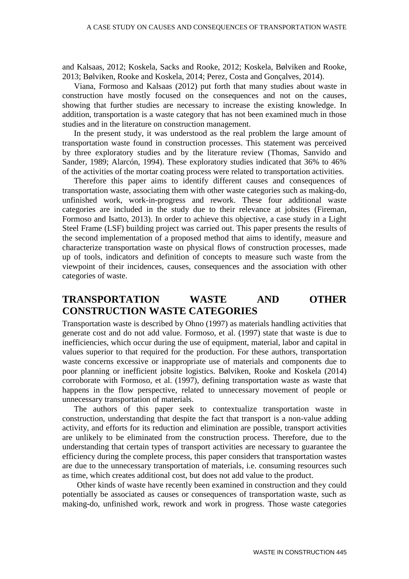and Kalsaas, 2012; Koskela, Sacks and Rooke, 2012; Koskela, Bølviken and Rooke, 2013; Bølviken, Rooke and Koskela, 2014; Perez, Costa and Gonçalves, 2014).

Viana, Formoso and Kalsaas (2012) put forth that many studies about waste in construction have mostly focused on the consequences and not on the causes, showing that further studies are necessary to increase the existing knowledge. In addition, transportation is a waste category that has not been examined much in those studies and in the literature on construction management.

In the present study, it was understood as the real problem the large amount of transportation waste found in construction processes. This statement was perceived by three exploratory studies and by the literature review (Thomas, Sanvido and Sander, 1989; Alarcón, 1994). These exploratory studies indicated that 36% to 46% of the activities of the mortar coating process were related to transportation activities.

Therefore this paper aims to identify different causes and consequences of transportation waste, associating them with other waste categories such as making-do, unfinished work, work-in-progress and rework. These four additional waste categories are included in the study due to their relevance at jobsites (Fireman, Formoso and Isatto, 2013). In order to achieve this objective, a case study in a Light Steel Frame (LSF) building project was carried out. This paper presents the results of the second implementation of a proposed method that aims to identify, measure and characterize transportation waste on physical flows of construction processes, made up of tools, indicators and definition of concepts to measure such waste from the viewpoint of their incidences, causes, consequences and the association with other categories of waste.

# **TRANSPORTATION WASTE AND OTHER CONSTRUCTION WASTE CATEGORIES**

Transportation waste is described by Ohno (1997) as materials handling activities that generate cost and do not add value. Formoso, et al. (1997) state that waste is due to inefficiencies, which occur during the use of equipment, material, labor and capital in values superior to that required for the production. For these authors, transportation waste concerns excessive or inappropriate use of materials and components due to poor planning or inefficient jobsite logistics. Bølviken, Rooke and Koskela (2014) corroborate with Formoso, et al. (1997), defining transportation waste as waste that happens in the flow perspective, related to unnecessary movement of people or unnecessary transportation of materials.

The authors of this paper seek to contextualize transportation waste in construction, understanding that despite the fact that transport is a non-value adding activity, and efforts for its reduction and elimination are possible, transport activities are unlikely to be eliminated from the construction process. Therefore, due to the understanding that certain types of transport activities are necessary to guarantee the efficiency during the complete process, this paper considers that transportation wastes are due to the unnecessary transportation of materials, i.e. consuming resources such as time, which creates additional cost, but does not add value to the product.

Other kinds of waste have recently been examined in construction and they could potentially be associated as causes or consequences of transportation waste, such as making-do, unfinished work, rework and work in progress. Those waste categories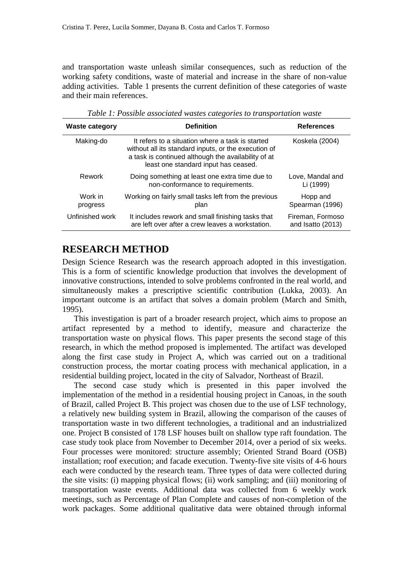and transportation waste unleash similar consequences, such as reduction of the working safety conditions, waste of material and increase in the share of non-value adding activities. Table 1 presents the current definition of these categories of waste and their main references.

| <b>Waste category</b> | <b>Definition</b>                                                                                                                                                                                       | <b>References</b>                     |
|-----------------------|---------------------------------------------------------------------------------------------------------------------------------------------------------------------------------------------------------|---------------------------------------|
| Making-do             | It refers to a situation where a task is started<br>without all its standard inputs, or the execution of<br>a task is continued although the availability of at<br>least one standard input has ceased. | Koskela (2004)                        |
| Rework                | Doing something at least one extra time due to<br>non-conformance to requirements.                                                                                                                      | Love, Mandal and<br>Li (1999)         |
| Work in<br>progress   | Working on fairly small tasks left from the previous<br>plan                                                                                                                                            | Hopp and<br>Spearman (1996)           |
| Unfinished work       | It includes rework and small finishing tasks that<br>are left over after a crew leaves a workstation.                                                                                                   | Fireman, Formoso<br>and Isatto (2013) |

*Table 1: Possible associated wastes categories to transportation waste*

### **RESEARCH METHOD**

Design Science Research was the research approach adopted in this investigation. This is a form of scientific knowledge production that involves the development of innovative constructions, intended to solve problems confronted in the real world, and simultaneously makes a prescriptive scientific contribution (Lukka, 2003). An important outcome is an artifact that solves a domain problem (March and Smith, 1995).

This investigation is part of a broader research project, which aims to propose an artifact represented by a method to identify, measure and characterize the transportation waste on physical flows. This paper presents the second stage of this research, in which the method proposed is implemented. The artifact was developed along the first case study in Project A, which was carried out on a traditional construction process, the mortar coating process with mechanical application, in a residential building project, located in the city of Salvador, Northeast of Brazil.

The second case study which is presented in this paper involved the implementation of the method in a residential housing project in Canoas, in the south of Brazil, called Project B. This project was chosen due to the use of LSF technology, a relatively new building system in Brazil, allowing the comparison of the causes of transportation waste in two different technologies, a traditional and an industrialized one. Project B consisted of 178 LSF houses built on shallow type raft foundation. The case study took place from November to December 2014, over a period of six weeks. Four processes were monitored: structure assembly; Oriented Strand Board (OSB) installation; roof execution; and facade execution. Twenty-five site visits of 4-6 hours each were conducted by the research team. Three types of data were collected during the site visits: (i) mapping physical flows; (ii) work sampling; and (iii) monitoring of transportation waste events. Additional data was collected from 6 weekly work meetings, such as Percentage of Plan Complete and causes of non-completion of the work packages. Some additional qualitative data were obtained through informal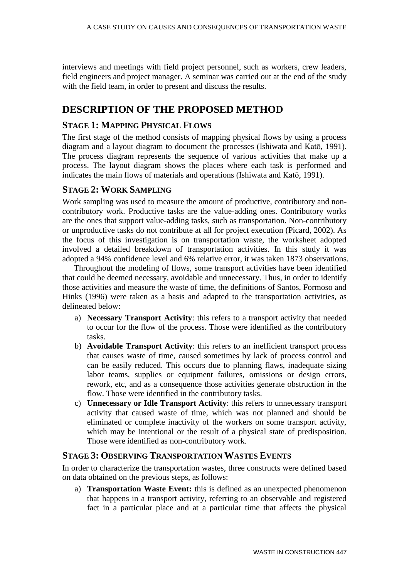interviews and meetings with field project personnel, such as workers, crew leaders, field engineers and project manager. A seminar was carried out at the end of the study with the field team, in order to present and discuss the results.

# **DESCRIPTION OF THE PROPOSED METHOD**

#### **STAGE 1: MAPPING PHYSICAL FLOWS**

The first stage of the method consists of mapping physical flows by using a process diagram and a layout diagram to document the processes (Ishiwata and Katō, 1991). The process diagram represents the sequence of various activities that make up a process. The layout diagram shows the places where each task is performed and indicates the main flows of materials and operations (Ishiwata and Katō, 1991).

#### **STAGE 2: WORK SAMPLING**

Work sampling was used to measure the amount of productive, contributory and noncontributory work. Productive tasks are the value-adding ones. Contributory works are the ones that support value-adding tasks, such as transportation. Non-contributory or unproductive tasks do not contribute at all for project execution (Picard, 2002). As the focus of this investigation is on transportation waste, the worksheet adopted involved a detailed breakdown of transportation activities. In this study it was adopted a 94% confidence level and 6% relative error, it was taken 1873 observations.

Throughout the modeling of flows, some transport activities have been identified that could be deemed necessary, avoidable and unnecessary. Thus, in order to identify those activities and measure the waste of time, the definitions of Santos, Formoso and Hinks (1996) were taken as a basis and adapted to the transportation activities, as delineated below:

- a) **Necessary Transport Activity**: this refers to a transport activity that needed to occur for the flow of the process. Those were identified as the contributory tasks.
- b) **Avoidable Transport Activity**: this refers to an inefficient transport process that causes waste of time, caused sometimes by lack of process control and can be easily reduced. This occurs due to planning flaws, inadequate sizing labor teams, supplies or equipment failures, omissions or design errors, rework, etc, and as a consequence those activities generate obstruction in the flow. Those were identified in the contributory tasks.
- c) **Unnecessary or Idle Transport Activity**: this refers to unnecessary transport activity that caused waste of time, which was not planned and should be eliminated or complete inactivity of the workers on some transport activity, which may be intentional or the result of a physical state of predisposition. Those were identified as non-contributory work.

#### **STAGE 3: OBSERVING TRANSPORTATION WASTES EVENTS**

In order to characterize the transportation wastes, three constructs were defined based on data obtained on the previous steps, as follows:

a) **Transportation Waste Event:** this is defined as an unexpected phenomenon that happens in a transport activity, referring to an observable and registered fact in a particular place and at a particular time that affects the physical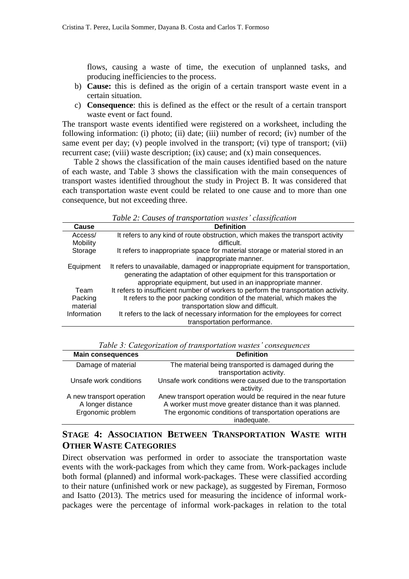flows, causing a waste of time, the execution of unplanned tasks, and producing inefficiencies to the process.

- b) **Cause:** this is defined as the origin of a certain transport waste event in a certain situation.
- c) **Consequence**: this is defined as the effect or the result of a certain transport waste event or fact found.

The transport waste events identified were registered on a worksheet, including the following information: (i) photo; (ii) date; (iii) number of record; (iv) number of the same event per day; (v) people involved in the transport; (vi) type of transport; (vii) recurrent case; (viii) waste description; (ix) cause; and (x) main consequences.

Table 2 shows the classification of the main causes identified based on the nature of each waste, and Table 3 shows the classification with the main consequences of transport wastes identified throughout the study in Project B. It was considered that each transportation waste event could be related to one cause and to more than one consequence, but not exceeding three.

|  |  |  | Table 2: Causes of transportation wastes' classification |
|--|--|--|----------------------------------------------------------|
|--|--|--|----------------------------------------------------------|

| Cause       | <b>Definition</b>                                                                   |
|-------------|-------------------------------------------------------------------------------------|
| Access/     | It refers to any kind of route obstruction, which makes the transport activity      |
| Mobility    | difficult.                                                                          |
| Storage     | It refers to inappropriate space for material storage or material stored in an      |
|             | inappropriate manner.                                                               |
| Equipment   | It refers to unavailable, damaged or inappropriate equipment for transportation,    |
|             | generating the adaptation of other equipment for this transportation or             |
|             | appropriate equipment, but used in an inappropriate manner.                         |
| Team        | It refers to insufficient number of workers to perform the transportation activity. |
| Packing     | It refers to the poor packing condition of the material, which makes the            |
| material    | transportation slow and difficult.                                                  |
| Information | It refers to the lack of necessary information for the employees for correct        |
|             | transportation performance.                                                         |

| Tuble 5. Calegorization of transportation wastes consequences       |                                                                                                                                                                                                       |  |  |  |
|---------------------------------------------------------------------|-------------------------------------------------------------------------------------------------------------------------------------------------------------------------------------------------------|--|--|--|
| <b>Main consequences</b>                                            | <b>Definition</b>                                                                                                                                                                                     |  |  |  |
| Damage of material                                                  | The material being transported is damaged during the<br>transportation activity.                                                                                                                      |  |  |  |
| Unsafe work conditions                                              | Unsafe work conditions were caused due to the transportation<br>activity.                                                                                                                             |  |  |  |
| A new transport operation<br>A longer distance<br>Ergonomic problem | Anew transport operation would be required in the near future<br>A worker must move greater distance than it was planned.<br>The ergonomic conditions of transportation operations are<br>inadequate. |  |  |  |

*Table 3: Categorization of transportation wastes' consequences*

# **STAGE 4: ASSOCIATION BETWEEN TRANSPORTATION WASTE WITH OTHER WASTE CATEGORIES**

Direct observation was performed in order to associate the transportation waste events with the work-packages from which they came from. Work-packages include both formal (planned) and informal work-packages. These were classified according to their nature (unfinished work or new package), as suggested by Fireman, Formoso and Isatto (2013). The metrics used for measuring the incidence of informal workpackages were the percentage of informal work-packages in relation to the total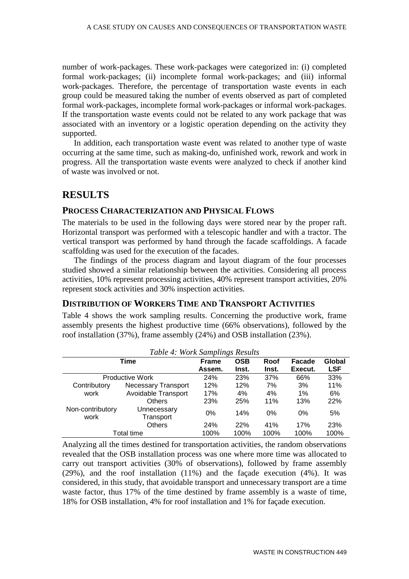number of work-packages. These work-packages were categorized in: (i) completed formal work-packages; (ii) incomplete formal work-packages; and (iii) informal work-packages. Therefore, the percentage of transportation waste events in each group could be measured taking the number of events observed as part of completed formal work-packages, incomplete formal work-packages or informal work-packages. If the transportation waste events could not be related to any work package that was associated with an inventory or a logistic operation depending on the activity they supported.

In addition, each transportation waste event was related to another type of waste occurring at the same time, such as making-do, unfinished work, rework and work in progress. All the transportation waste events were analyzed to check if another kind of waste was involved or not.

#### **RESULTS**

#### **PROCESS CHARACTERIZATION AND PHYSICAL FLOWS**

The materials to be used in the following days were stored near by the proper raft. Horizontal transport was performed with a telescopic handler and with a tractor. The vertical transport was performed by hand through the facade scaffoldings. A facade scaffolding was used for the execution of the facades.

The findings of the process diagram and layout diagram of the four processes studied showed a similar relationship between the activities. Considering all process activities, 10% represent processing activities, 40% represent transport activities, 20% represent stock activities and 30% inspection activities.

#### **DISTRIBUTION OF WORKERS TIME AND TRANSPORT ACTIVITIES**

Table 4 shows the work sampling results. Concerning the productive work, frame assembly presents the highest productive time (66% observations), followed by the roof installation (37%), frame assembly (24%) and OSB installation (23%).

| Table 4: WORK Samplings Results |                            |              |            |       |         |            |
|---------------------------------|----------------------------|--------------|------------|-------|---------|------------|
| <b>Time</b>                     |                            | <b>Frame</b> | <b>OSB</b> | Roof  | Facade  | Global     |
|                                 |                            | Assem.       | Inst.      | Inst. | Execut. | <b>LSF</b> |
| <b>Productive Work</b>          |                            | <b>24%</b>   | 23%        | 37%   | 66%     | 33%        |
| Contributory                    | <b>Necessary Transport</b> | 12%          | 12%        | 7%    | 3%      | 11%        |
| work                            | Avoidable Transport        | 17%          | 4%         | 4%    | $1\%$   | 6%         |
|                                 | <b>Others</b>              | 23%          | 25%        | 11%   | 13%     | 22%        |
| Non-contributory<br>work        | Unnecessary<br>Transport   | 0%           | 14%        | $0\%$ | 0%      | 5%         |
|                                 | <b>Others</b>              | 24%          | <b>22%</b> | 41%   | 17%     | 23%        |
| Total time                      |                            | 100%         | 100%       | 100%  | 100%    | 100%       |

*Table 4: Work Samplings Results*

Analyzing all the times destined for transportation activities, the random observations revealed that the OSB installation process was one where more time was allocated to carry out transport activities (30% of observations), followed by frame assembly (29%), and the roof installation (11%) and the façade execution (4%). It was considered, in this study, that avoidable transport and unnecessary transport are a time waste factor, thus 17% of the time destined by frame assembly is a waste of time, 18% for OSB installation, 4% for roof installation and 1% for façade execution.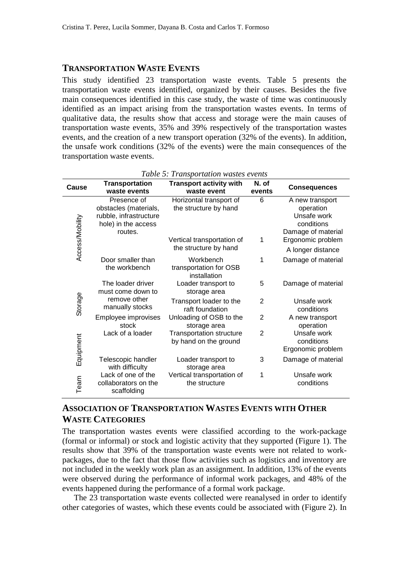#### **TRANSPORTATION WASTE EVENTS**

This study identified 23 transportation waste events. Table 5 presents the transportation waste events identified, organized by their causes. Besides the five main consequences identified in this case study, the waste of time was continuously identified as an impact arising from the transportation wastes events. In terms of qualitative data, the results show that access and storage were the main causes of transportation waste events, 35% and 39% respectively of the transportation wastes events, and the creation of a new transport operation (32% of the events). In addition, the unsafe work conditions (32% of the events) were the main consequences of the transportation waste events.

| Table 5: Transportation wastes events |                                                                                                  |                                                          |                 |                                                                                 |
|---------------------------------------|--------------------------------------------------------------------------------------------------|----------------------------------------------------------|-----------------|---------------------------------------------------------------------------------|
| Cause                                 | <b>Transportation</b><br>waste events                                                            | <b>Transport activity with</b><br>waste event            | N. of<br>events | <b>Consequences</b>                                                             |
|                                       | Presence of<br>obstacles (materials,<br>rubble, infrastructure<br>hole) in the access<br>routes. | Horizontal transport of<br>the structure by hand         | 6               | A new transport<br>operation<br>Unsafe work<br>conditions<br>Damage of material |
| Access/Mobility                       |                                                                                                  | Vertical transportation of<br>the structure by hand      | 1               | Ergonomic problem<br>A longer distance                                          |
|                                       | Door smaller than<br>the workbench                                                               | Workbench<br>transportation for OSB<br>installation      | 1               | Damage of material                                                              |
| Storage                               | The loader driver<br>must come down to<br>remove other<br>manually stocks                        | Loader transport to<br>storage area                      | 5               | Damage of material                                                              |
|                                       |                                                                                                  | Transport loader to the<br>raft foundation               | 2               | Unsafe work<br>conditions                                                       |
|                                       | Employee improvises<br>stock                                                                     | Unloading of OSB to the<br>storage area                  | 2               | A new transport<br>operation                                                    |
| Equipment                             | Lack of a loader                                                                                 | <b>Transportation structure</b><br>by hand on the ground | $\overline{2}$  | Unsafe work<br>conditions<br>Ergonomic problem                                  |
|                                       | Telescopic handler<br>with difficulty                                                            | Loader transport to<br>storage area                      | 3               | Damage of material                                                              |
| Team                                  | Lack of one of the<br>collaborators on the<br>scaffolding                                        | Vertical transportation of<br>the structure              | 1               | Unsafe work<br>conditions                                                       |

### **ASSOCIATION OF TRANSPORTATION WASTES EVENTS WITH OTHER WASTE CATEGORIES**

The transportation wastes events were classified according to the work-package (formal or informal) or stock and logistic activity that they supported (Figure 1). The results show that 39% of the transportation waste events were not related to workpackages, due to the fact that those flow activities such as logistics and inventory are not included in the weekly work plan as an assignment. In addition, 13% of the events were observed during the performance of informal work packages, and 48% of the events happened during the performance of a formal work package.

The 23 transportation waste events collected were reanalysed in order to identify other categories of wastes, which these events could be associated with (Figure 2). In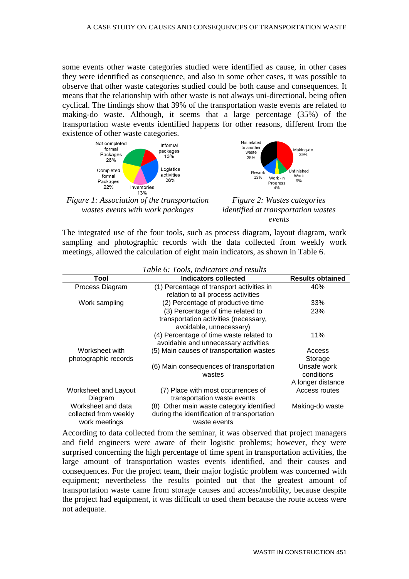some events other waste categories studied were identified as cause, in other cases they were identified as consequence, and also in some other cases, it was possible to observe that other waste categories studied could be both cause and consequences. It means that the relationship with other waste is not always uni-directional, being often cyclical. The findings show that 39% of the transportation waste events are related to making-do waste. Although, it seems that a large percentage (35%) of the transportation waste events identified happens for other reasons, different from the existence of other waste categories.



*Figure 1: Association of the transportation wastes events with work packages*



*Figure 2: Wastes categories identified at transportation wastes events* 

The integrated use of the four tools, such as process diagram, layout diagram, work sampling and photographic records with the data collected from weekly work meetings, allowed the calculation of eight main indicators, as shown in Table 6.

| Table 6: Tools, indicators and results |                                             |                         |  |  |
|----------------------------------------|---------------------------------------------|-------------------------|--|--|
| Tool                                   | Indicators collected                        | <b>Results obtained</b> |  |  |
| Process Diagram                        | (1) Percentage of transport activities in   | 40%                     |  |  |
|                                        | relation to all process activities          |                         |  |  |
| Work sampling                          | (2) Percentage of productive time           | 33%                     |  |  |
|                                        | (3) Percentage of time related to           | 23%                     |  |  |
|                                        | transportation activities (necessary,       |                         |  |  |
|                                        | avoidable, unnecessary)                     |                         |  |  |
|                                        | (4) Percentage of time waste related to     | 11%                     |  |  |
|                                        | avoidable and unnecessary activities        |                         |  |  |
| Worksheet with                         | (5) Main causes of transportation wastes    | Access                  |  |  |
| photographic records                   |                                             | Storage                 |  |  |
|                                        | (6) Main consequences of transportation     | Unsafe work             |  |  |
|                                        | wastes                                      | conditions              |  |  |
|                                        |                                             | A longer distance       |  |  |
| Worksheet and Layout                   | (7) Place with most occurrences of          | Access routes           |  |  |
| Diagram                                | transportation waste events                 |                         |  |  |
| Worksheet and data                     | (8) Other main waste category identified    | Making-do waste         |  |  |
| collected from weekly                  | during the identification of transportation |                         |  |  |
| work meetings                          | waste events                                |                         |  |  |

According to data collected from the seminar, it was observed that project managers and field engineers were aware of their logistic problems; however, they were surprised concerning the high percentage of time spent in transportation activities, the large amount of transportation wastes events identified, and their causes and consequences. For the project team, their major logistic problem was concerned with equipment; nevertheless the results pointed out that the greatest amount of transportation waste came from storage causes and access/mobility, because despite the project had equipment, it was difficult to used them because the route access were not adequate.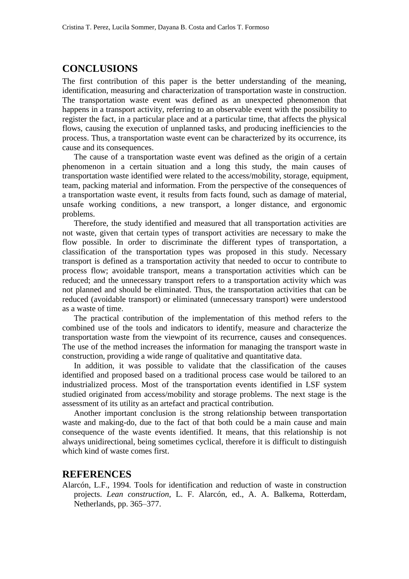# **CONCLUSIONS**

The first contribution of this paper is the better understanding of the meaning, identification, measuring and characterization of transportation waste in construction. The transportation waste event was defined as an unexpected phenomenon that happens in a transport activity, referring to an observable event with the possibility to register the fact, in a particular place and at a particular time, that affects the physical flows, causing the execution of unplanned tasks, and producing inefficiencies to the process. Thus, a transportation waste event can be characterized by its occurrence, its cause and its consequences.

The cause of a transportation waste event was defined as the origin of a certain phenomenon in a certain situation and a long this study, the main causes of transportation waste identified were related to the access/mobility, storage, equipment, team, packing material and information. From the perspective of the consequences of a transportation waste event, it results from facts found, such as damage of material, unsafe working conditions, a new transport, a longer distance, and ergonomic problems.

Therefore, the study identified and measured that all transportation activities are not waste, given that certain types of transport activities are necessary to make the flow possible. In order to discriminate the different types of transportation, a classification of the transportation types was proposed in this study. Necessary transport is defined as a transportation activity that needed to occur to contribute to process flow; avoidable transport, means a transportation activities which can be reduced; and the unnecessary transport refers to a transportation activity which was not planned and should be eliminated. Thus, the transportation activities that can be reduced (avoidable transport) or eliminated (unnecessary transport) were understood as a waste of time.

The practical contribution of the implementation of this method refers to the combined use of the tools and indicators to identify, measure and characterize the transportation waste from the viewpoint of its recurrence, causes and consequences. The use of the method increases the information for managing the transport waste in construction, providing a wide range of qualitative and quantitative data.

In addition, it was possible to validate that the classification of the causes identified and proposed based on a traditional process case would be tailored to an industrialized process. Most of the transportation events identified in LSF system studied originated from access/mobility and storage problems. The next stage is the assessment of its utility as an artefact and practical contribution.

Another important conclusion is the strong relationship between transportation waste and making-do, due to the fact of that both could be a main cause and main consequence of the waste events identified. It means, that this relationship is not always unidirectional, being sometimes cyclical, therefore it is difficult to distinguish which kind of waste comes first.

#### **REFERENCES**

Alarcón, L.F., 1994. Tools for identification and reduction of waste in construction projects. *Lean construction*, L. F. Alarcón, ed., A. A. Balkema, Rotterdam, Netherlands, pp. 365–377.